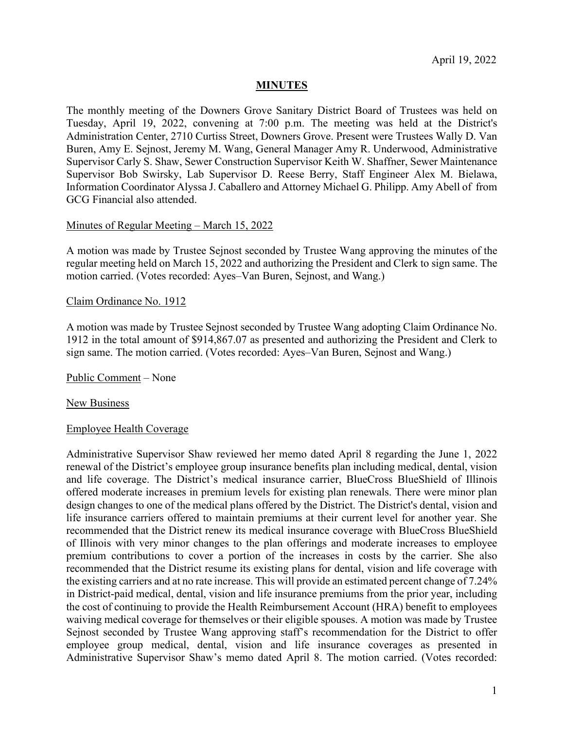# **MINUTES**

The monthly meeting of the Downers Grove Sanitary District Board of Trustees was held on Tuesday, April 19, 2022, convening at 7:00 p.m. The meeting was held at the District's Administration Center, 2710 Curtiss Street, Downers Grove. Present were Trustees Wally D. Van Buren, Amy E. Sejnost, Jeremy M. Wang, General Manager Amy R. Underwood, Administrative Supervisor Carly S. Shaw, Sewer Construction Supervisor Keith W. Shaffner, Sewer Maintenance Supervisor Bob Swirsky, Lab Supervisor D. Reese Berry, Staff Engineer Alex M. Bielawa, Information Coordinator Alyssa J. Caballero and Attorney Michael G. Philipp. Amy Abell of from GCG Financial also attended.

#### Minutes of Regular Meeting – March 15, 2022

A motion was made by Trustee Sejnost seconded by Trustee Wang approving the minutes of the regular meeting held on March 15, 2022 and authorizing the President and Clerk to sign same. The motion carried. (Votes recorded: Ayes–Van Buren, Sejnost, and Wang.)

#### Claim Ordinance No. 1912

A motion was made by Trustee Sejnost seconded by Trustee Wang adopting Claim Ordinance No. 1912 in the total amount of \$914,867.07 as presented and authorizing the President and Clerk to sign same. The motion carried. (Votes recorded: Ayes–Van Buren, Sejnost and Wang.)

Public Comment – None

New Business

## Employee Health Coverage

Administrative Supervisor Shaw reviewed her memo dated April 8 regarding the June 1, 2022 renewal of the District's employee group insurance benefits plan including medical, dental, vision and life coverage. The District's medical insurance carrier, BlueCross BlueShield of Illinois offered moderate increases in premium levels for existing plan renewals. There were minor plan design changes to one of the medical plans offered by the District. The District's dental, vision and life insurance carriers offered to maintain premiums at their current level for another year. She recommended that the District renew its medical insurance coverage with BlueCross BlueShield of Illinois with very minor changes to the plan offerings and moderate increases to employee premium contributions to cover a portion of the increases in costs by the carrier. She also recommended that the District resume its existing plans for dental, vision and life coverage with the existing carriers and at no rate increase. This will provide an estimated percent change of 7.24% in District-paid medical, dental, vision and life insurance premiums from the prior year, including the cost of continuing to provide the Health Reimbursement Account (HRA) benefit to employees waiving medical coverage for themselves or their eligible spouses. A motion was made by Trustee Sejnost seconded by Trustee Wang approving staff's recommendation for the District to offer employee group medical, dental, vision and life insurance coverages as presented in Administrative Supervisor Shaw's memo dated April 8. The motion carried. (Votes recorded: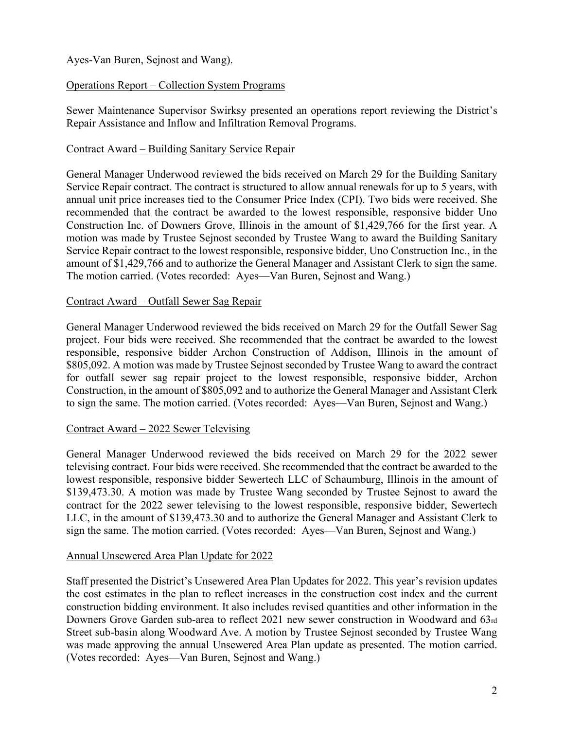Ayes-Van Buren, Sejnost and Wang).

## Operations Report – Collection System Programs

Sewer Maintenance Supervisor Swirksy presented an operations report reviewing the District's Repair Assistance and Inflow and Infiltration Removal Programs.

## Contract Award – Building Sanitary Service Repair

General Manager Underwood reviewed the bids received on March 29 for the Building Sanitary Service Repair contract. The contract is structured to allow annual renewals for up to 5 years, with annual unit price increases tied to the Consumer Price Index (CPI). Two bids were received. She recommended that the contract be awarded to the lowest responsible, responsive bidder Uno Construction Inc. of Downers Grove, Illinois in the amount of \$1,429,766 for the first year. A motion was made by Trustee Sejnost seconded by Trustee Wang to award the Building Sanitary Service Repair contract to the lowest responsible, responsive bidder, Uno Construction Inc., in the amount of \$1,429,766 and to authorize the General Manager and Assistant Clerk to sign the same. The motion carried. (Votes recorded: Ayes—Van Buren, Sejnost and Wang.)

## Contract Award – Outfall Sewer Sag Repair

General Manager Underwood reviewed the bids received on March 29 for the Outfall Sewer Sag project. Four bids were received. She recommended that the contract be awarded to the lowest responsible, responsive bidder Archon Construction of Addison, Illinois in the amount of \$805,092. A motion was made by Trustee Sejnost seconded by Trustee Wang to award the contract for outfall sewer sag repair project to the lowest responsible, responsive bidder, Archon Construction, in the amount of \$805,092 and to authorize the General Manager and Assistant Clerk to sign the same. The motion carried. (Votes recorded: Ayes—Van Buren, Sejnost and Wang.)

## Contract Award – 2022 Sewer Televising

General Manager Underwood reviewed the bids received on March 29 for the 2022 sewer televising contract. Four bids were received. She recommended that the contract be awarded to the lowest responsible, responsive bidder Sewertech LLC of Schaumburg, Illinois in the amount of \$139,473.30. A motion was made by Trustee Wang seconded by Trustee Sejnost to award the contract for the 2022 sewer televising to the lowest responsible, responsive bidder, Sewertech LLC, in the amount of \$139,473.30 and to authorize the General Manager and Assistant Clerk to sign the same. The motion carried. (Votes recorded: Ayes—Van Buren, Sejnost and Wang.)

## Annual Unsewered Area Plan Update for 2022

Staff presented the District's Unsewered Area Plan Updates for 2022. This year's revision updates the cost estimates in the plan to reflect increases in the construction cost index and the current construction bidding environment. It also includes revised quantities and other information in the Downers Grove Garden sub-area to reflect 2021 new sewer construction in Woodward and 63rd Street sub-basin along Woodward Ave. A motion by Trustee Sejnost seconded by Trustee Wang was made approving the annual Unsewered Area Plan update as presented. The motion carried. (Votes recorded: Ayes—Van Buren, Sejnost and Wang.)